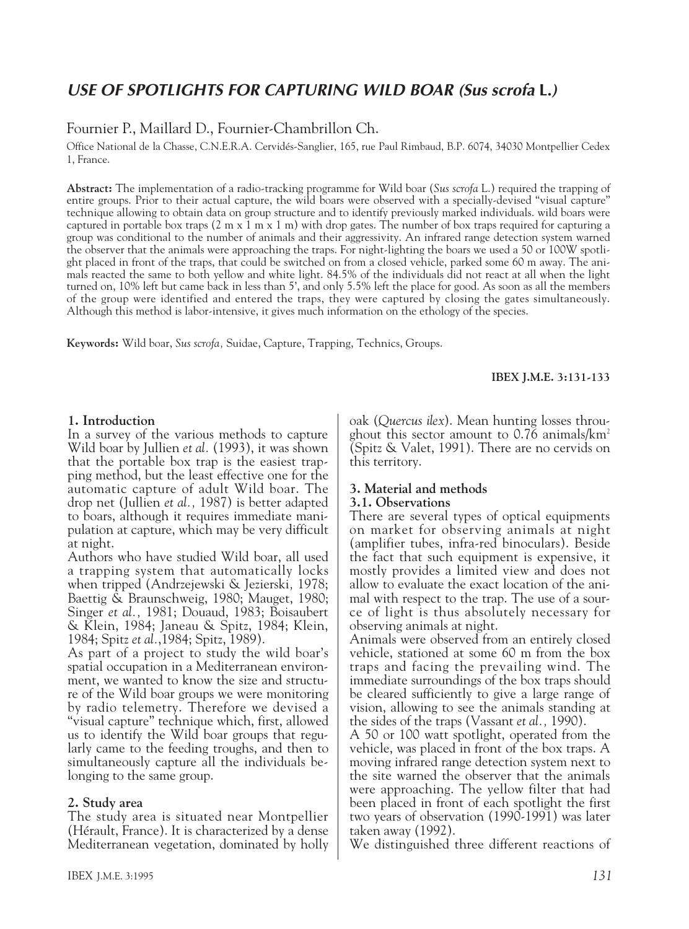# *USE OF SPOTLIGHTS FOR CAPTURING WILD BOAR (Sus scrofa* **L.***)*

# Fournier P., Maillard D., Fournier-Chambrillon Ch.

Office National de la Chasse, C.N.E.R.A. Cervidés-Sanglier, 165, rue Paul Rimbaud, B.P. 6074, 34030 Montpellier Cedex 1, France.

**Abstract:** The implementation of a radio-tracking programme for Wild boar (*Sus scrofa* L.) required the trapping of entire groups. Prior to their actual capture, the wild boars were observed with a specially-devised "visual capture" technique allowing to obtain data on group structure and to identify previously marked individuals. wild boars were captured in portable box traps  $(2 \text{ m x } 1 \text{ m x } 1 \text{ m})$  with drop gates. The number of box traps required for capturing a group was conditional to the number of animals and their aggressivity. An infrared range detection system warned the observer that the animals were approaching the traps. For night-lighting the boars we used a 50 or 100W spotlight placed in front of the traps, that could be switched on from a closed vehicle, parked some 60 m away. The animals reacted the same to both yellow and white light. 84.5% of the individuals did not react at all when the light turned on, 10% left but came back in less than 5', and only 5.5% left the place for good. As soon as all the members of the group were identified and entered the traps, they were captured by closing the gates simultaneously. Although this method is labor-intensive, it gives much information on the ethology of the species.

**Keywords:** Wild boar, *Sus scrofa,* Suidae, Capture, Trapping, Technics, Groups.

**IBEX J.M.E. 3:131-133**

#### **1. Introduction**

In a survey of the various methods to capture Wild boar by Jullien *et al.* (1993), it was shown that the portable box trap is the easiest trapping method, but the least effective one for the automatic capture of adult Wild boar. The drop net (Jullien *et al.,* 1987) is better adapted to boars, although it requires immediate manipulation at capture, which may be very difficult at night.

Authors who have studied Wild boar, all used a trapping system that automatically locks when tripped (Andrzejewski & Jezierski*,* 1978; Baettig  $\tilde{\&}$  Braunschweig, 1980; Mauget, 1980; Singer *et al.,* 1981; Douaud, 1983; Boisaubert & Klein, 1984; Janeau & Spitz, 1984; Klein, 1984; Spitz *et al.*,1984; Spitz, 1989).

As part of a project to study the wild boar's spatial occupation in a Mediterranean environment, we wanted to know the size and structure of the Wild boar groups we were monitoring by radio telemetry. Therefore we devised a "visual capture" technique which, first, allowed us to identify the Wild boar groups that regularly came to the feeding troughs, and then to simultaneously capture all the individuals belonging to the same group.

#### **2. Study area**

The study area is situated near Montpellier (Hérault, France). It is characterized by a dense Mediterranean vegetation, dominated by holly oak (*Quercus ilex*). Mean hunting losses throughout this sector amount to  $0.76$  animals/ $km^2$ (Spitz & Valet, 1991). There are no cervids on this territory.

#### **3. Material and methods 3.1. Observations**

There are several types of optical equipments on market for observing animals at night (amplifier tubes, infra-red binoculars). Beside the fact that such equipment is expensive, it mostly provides a limited view and does not allow to evaluate the exact location of the animal with respect to the trap. The use of a source of light is thus absolutely necessary for observing animals at night.

Animals were observed from an entirely closed vehicle, stationed at some 60 m from the box traps and facing the prevailing wind. The immediate surroundings of the box traps should be cleared sufficiently to give a large range of vision, allowing to see the animals standing at the sides of the traps (Vassant *et al.,* 1990).

A 50 or 100 watt spotlight, operated from the vehicle, was placed in front of the box traps. A moving infrared range detection system next to the site warned the observer that the animals were approaching. The yellow filter that had been placed in front of each spotlight the first two years of observation (1990-1991) was later taken away (1992).

We distinguished three different reactions of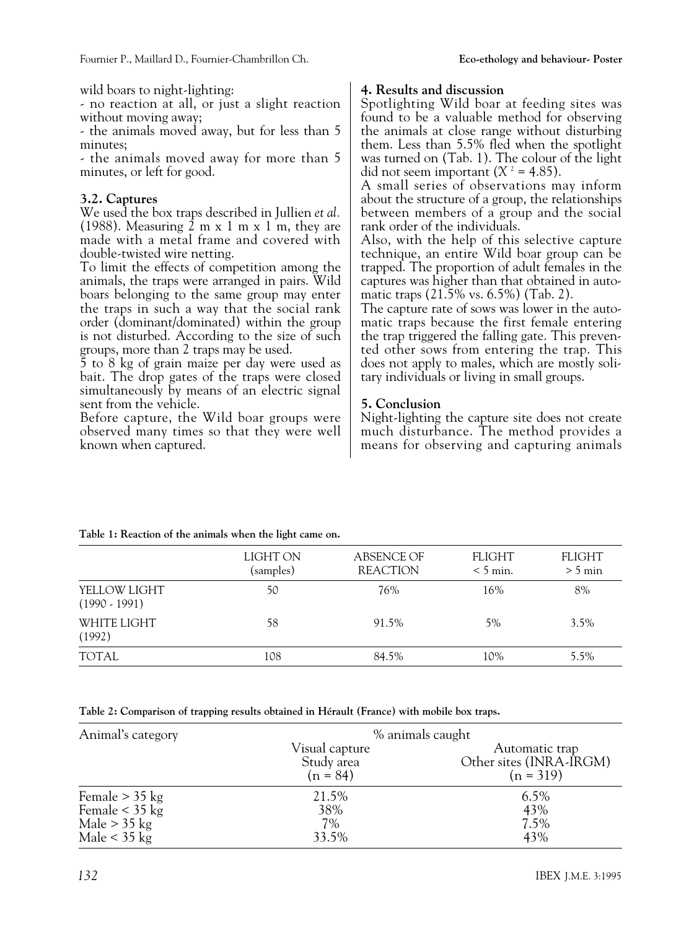wild boars to night-lighting:

- no reaction at all, or just a slight reaction without moving away;

- the animals moved away, but for less than 5 minutes;

- the animals moved away for more than 5 minutes, or left for good.

### **3.2. Captures**

We used the box traps described in Jullien *et al.* (1988). Measuring 2 m x 1 m x 1 m, they are made with a metal frame and covered with double-twisted wire netting.

To limit the effects of competition among the animals, the traps were arranged in pairs. Wild boars belonging to the same group may enter the traps in such a way that the social rank order (dominant/dominated) within the group is not disturbed. According to the size of such groups, more than 2 traps may be used.

5 to 8 kg of grain maize per day were used as bait. The drop gates of the traps were closed simultaneously by means of an electric signal sent from the vehicle.

Before capture, the Wild boar groups were observed many times so that they were well known when captured.

#### **4. Results and discussion**

Spotlighting Wild boar at feeding sites was found to be a valuable method for observing the animals at close range without disturbing them. Less than 5.5% fled when the spotlight was turned on (Tab. 1). The colour of the light did not seem important  $(X^2 = 4.85)$ .

A small series of observations may inform about the structure of a group, the relationships between members of a group and the social rank order of the individuals.

Also, with the help of this selective capture technique, an entire Wild boar group can be trapped. The proportion of adult females in the captures was higher than that obtained in automatic traps (21.5% vs. 6.5%) (Tab. 2).

The capture rate of sows was lower in the automatic traps because the first female entering the trap triggered the falling gate. This prevented other sows from entering the trap. This does not apply to males, which are mostly solitary individuals or living in small groups.

### **5. Conclusion**

Night-lighting the capture site does not create much disturbance. The method provides a means for observing and capturing animals

|       | <b>FLIGHT</b><br>$< 5$ min.              | <b>FLIGHT</b><br>$> 5$ min           |
|-------|------------------------------------------|--------------------------------------|
| 76%   | 16%                                      | 8%                                   |
| 91.5% | 5%                                       | $3.5\%$                              |
| 84.5% | 10%                                      | 5.5%                                 |
|       | LIGHT ON<br>(samples)<br>50<br>58<br>108 | <b>ABSENCE OF</b><br><b>REACTION</b> |

**Table 1: Reaction of the animals when the light came on.**

**Table 2: Comparison of trapping results obtained in Hérault (France) with mobile box traps.**

| Animal's category | % animals caught                           |                                                          |  |
|-------------------|--------------------------------------------|----------------------------------------------------------|--|
|                   | Visual capture<br>Study area<br>$(n = 84)$ | Automatic trap<br>Other sites (INRA-IRGM)<br>$(n = 319)$ |  |
| Female $>$ 35 kg  | 21.5%                                      | $6.5\%$                                                  |  |
| Female $<$ 35 kg  | 38%                                        | 43%                                                      |  |
| Male $>$ 35 kg    | 7%                                         | 7.5%                                                     |  |
| Male $<$ 35 kg    | 33.5%                                      | 43%                                                      |  |